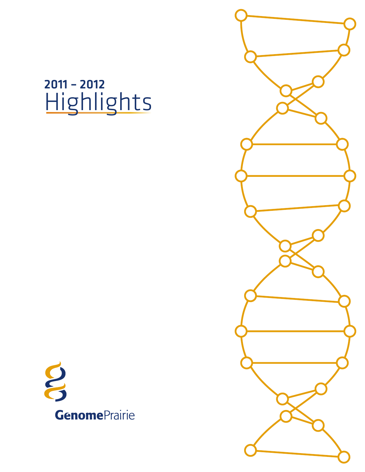# 2011 – 2012 **Highlights**



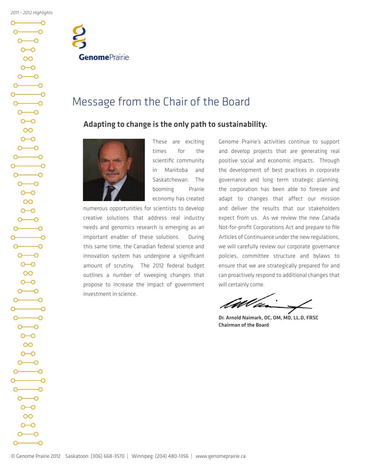**Genome**Prairie

### Message from the Chair of the Board

#### Adapting to change is the only path to sustainability.



These are exciting times for the scientific community in Manitoba and Saskatchewan. The booming Prairie economy has created

numerous opportunities for scientists to develop creative solutions that address real industry needs and genomics research is emerging as an important enabler of these solutions. During this same time, the Canadian federal science and innovation system has undergone a significant amount of scrutiny. The 2012 federal budget outlines a number of sweeping changes that propose to increase the impact of government investment in science.

Genome Prairie's activities continue to support and develop projects that are generating real positive social and economic impacts. Through the development of best practices in corporate governance and long term strategic planning, the corporation has been able to foresee and adapt to changes that affect our mission and deliver the results that our stakeholders expect from us. As we review the new Canada Not-for-profit Corporations Act and prepare to file Articles of Continuance under the new regulations, we will carefully review our corporate governance policies, committee structure and bylaws to ensure that we are strategically prepared for and can proactively respond to additional changes that will certainly come.

Dr. Arnold Naimark, OC, OM, MD, LL.D, FRSC Chairman of the Board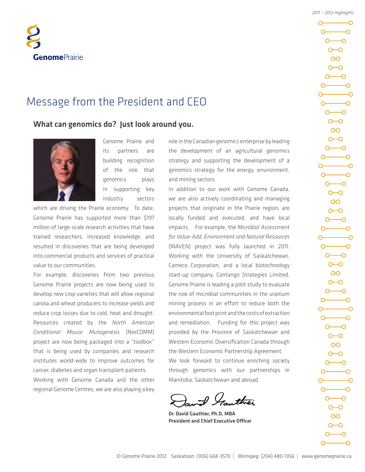

### Message from the President and CEO

#### What can genomics do? Just look around you.



Genome Prairie and its partners are building recognition of the role that genomics plays in supporting key industry sectors

which are driving the Prairie economy. To date, Genome Prairie has supported more than \$197 million of large-scale research activities that have trained researchers, increased knowledge, and resulted in discoveries that are being developed into commercial products and services of practical value to our communities.

For example, discoveries from two previous Genome Prairie projects are now being used to develop new crop varieties that will allow regional canola and wheat producers to increase yields and reduce crop losses due to cold, heat and drought. Resources created by the *North American Conditional Mouse Mutagenesis* (NorCOMM) project are now being packaged into a "toolbox" that is being used by companies and research institutes world-wide to improve outcomes for cancer, diabetes and organ transplant patients.

Working with Genome Canada and the other regional Genome Centres, we are also playing a key role in the Canadian genomics enterprise by leading the development of an agricultural genomics strategy and supporting the development of a genomics strategy for the energy, environment, and mining sectors.

In addition to our work with Genome Canada, we are also actively coordinating and managing projects that originate in the Prairie region, are locally funded and executed, and have local impacts. For example, the *Microbial Assessment for Value-Add, Environment and Natural Resources* (MAVEN) project was fully launched in 2011. Working with the University of Saskatchewan, Cameco Corporation, and a local biotechnology start-up company, Contango Strategies Limited, Genome Prairie is leading a pilot study to evaluate the role of microbial communities in the uranium mining process in an effort to reduce both the environmental foot print and the costs of extraction and remediation. Funding for this project was provided by the Province of Saskatchewan and Western Economic Diversification Canada through the Western Economic Partnership Agreement.

We look forward to continue enriching society through genomics with our partnerships in Manitoba, Saskatchewan and abroad.

D Santhrei

Dr. David Gauthier, Ph.D, MBA President and Chief Executive Officer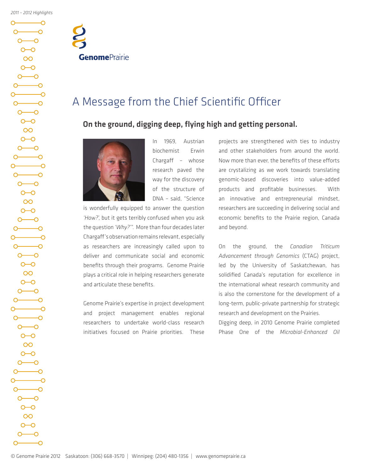**Genome**Prairie

### A Message from the Chief Scientific Officer

#### On the ground, digging deep, flying high and getting personal.



In 1969, Austrian biochemist Erwin Chargaff – whose research paved the way for the discovery of the structure of DNA – said, "Science

is wonderfully equipped to answer the question *'How?*', but it gets terribly confused when you ask the question *'Why?*'". More than four decades later Chargaff's observation remains relevant, especially as researchers are increasingly called upon to deliver and communicate social and economic benefits through their programs. Genome Prairie plays a critical role in helping researchers generate and articulate these benefits.

Genome Prairie's expertise in project development and project management enables regional researchers to undertake world-class research initiatives focused on Prairie priorities. These projects are strengthened with ties to industry and other stakeholders from around the world. Now more than ever, the benefits of these efforts are crystalizing as we work towards translating genomic-based discoveries into value-added products and profitable businesses. With an innovative and entrepreneurial mindset, researchers are succeeding in delivering social and economic benefits to the Prairie region, Canada and beyond.

On the ground, the *Canadian Triticum Advancement through Genomics* (CTAG) project, led by the University of Saskatchewan, has solidified Canada's reputation for excellence in the international wheat research community and is also the cornerstone for the development of a long-term, public-private partnership for strategic research and development on the Prairies.

Digging deep, in 2010 Genome Prairie completed Phase One of the *Microbial-Enhanced Oil*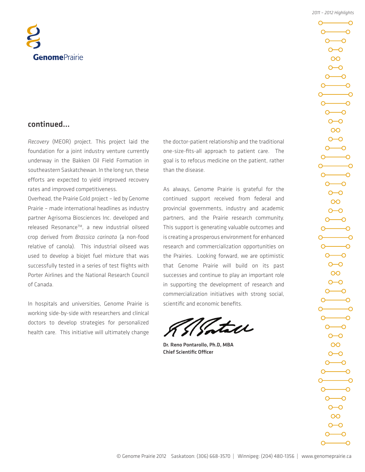

#### continued...

*Recovery* (MEOR) project. This project laid the foundation for a joint industry venture currently underway in the Bakken Oil Field Formation in southeastern Saskatchewan. In the long run, these efforts are expected to yield improved recovery rates and improved competitiveness.

Overhead, the Prairie Gold project – led by Genome Prairie – made international headlines as industry partner Agrisoma Biosciences Inc. developed and released Resonance™, a new industrial oilseed crop derived from *Brassica carinata* (a non-food relative of canola). This industrial oilseed was used to develop a biojet fuel mixture that was successfully tested in a series of test flights with Porter Airlines and the National Research Council of Canada.

In hospitals and universities, Genome Prairie is working side-by-side with researchers and clinical doctors to develop strategies for personalized health care. This initiative will ultimately change the doctor-patient relationship and the traditional one-size-fits-all approach to patient care. The goal is to refocus medicine on the patient, rather than the disease.

As always, Genome Prairie is grateful for the continued support received from federal and provincial governments, industry and academic partners, and the Prairie research community. This support is generating valuable outcomes and is creating a prosperous environment for enhanced research and commercialization opportunities on the Prairies. Looking forward, we are optimistic that Genome Prairie will build on its past successes and continue to play an important role in supporting the development of research and commercialization initiatives with strong social, scientific and economic benefits.

Watacc

Dr. Reno Pontarollo, Ph.D, MBA Chief Scientific Officer

 $\circ$  -  $\circ$  $o$ — $o$  $O<sub>0</sub>$  $OO$  $\sim$  $o$ — $o$  $\circ$  0  $\circ$  0

 $o$ — $o$  $\overline{O}$  $OO$  $o$ <sup>O</sup>  $o$ — $o$  $\sim$  0  $\sim$  $o$ —o  $o$ <sup>O</sup>  $OO$  $O$  $o$ — $o$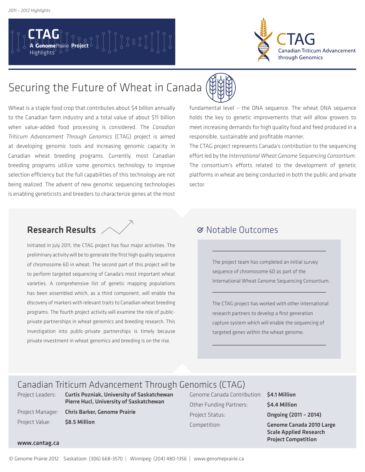



### Securing the Future of Wheat in Canada

Wheat is a staple food crop that contributes about \$4 billion annually to the Canadian farm industry and a total value of about \$11 billion when value-added food processing is considered. The *Canadian Triticum Advancement Through Genomics* (CTAG) project is aimed at developing genomic tools and increasing genomic capacity in Canadian wheat breeding programs. Currently, most Canadian breeding programs utilize some genomics technology to improve selection efficiency but the full capabilities of this technology are not being realized. The advent of new genomic sequencing technologies is enabling geneticists and breeders to characterize genes at the most fundamental level – the DNA sequence. The wheat DNA sequence holds the key to genetic improvements that will allow growers to meet increasing demands for high quality food and feed produced in a responsible, sustainable and profitable manner.

The CTAG project represents Canada's contribution to the sequencing effort led by the *International Wheat Genome Sequencing Consortium*. The consortium's efforts related to the development of genetic platforms in wheat are being conducted in both the public and private sector.

### **Research Results**  $\land$   $\land$   $\qquad \qquad \qquad \text{What is a constant.}$

Initiated in July 2011, the CTAG project has four major activities. The preliminary activity will be to generate the first high quality sequence of chromosome 6D in wheat. The second part of this project will be to perform targeted sequencing of Canada's most important wheat varieties. A comprehensive list of genetic mapping populations has been assembled which, as a third component, will enable the discovery of markers with relevant traits to Canadian wheat breeding programs. The fourth project activity will examine the role of publicprivate partnerships in wheat genomics and breeding research. This investigation into public-private partnerships is timely because private investment in wheat genomics and breeding is on the rise.

The project team has completed an initial survey sequence of chromosome 6D as part of the International Wheat Genome Sequencing Consortium.

The CTAG project has worked with other international research partners to develop a first generation capture system which will enable the sequencing of targeted genes within the wheat genome.

### Canadian Triticum Advancement Through Genomics (CTAG)

Project Leaders: Curtis Pozniak, University of Saskatchewan Pierre Hucl, University of Saskatchewan Project Manager: Chris Barker, Genome Prairie Project Value: \$8.5 Million

Genome Canada Contribution: \$4.1 Million Other Funding Partners: \$4.4 Million Project Status: **Ongoing (2011 - 2014)** Competition: Genome Canada 2010 Large

Scale Applied Research Project Competition

#### www.cantag.ca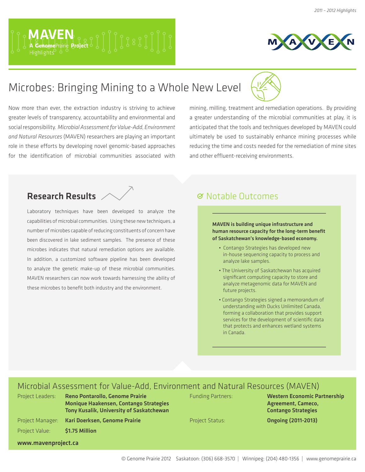### **MAVEN** A GenomePrairie Project Highlights



### Microbes: Bringing Mining to a Whole New Level



Now more than ever, the extraction industry is striving to achieve greater levels of transparency, accountability and environmental and social responsibility. *Microbial Assessment for Value-Add, Environment and Natural Resources* (MAVEN) researchers are playing an important role in these efforts by developing novel genomic-based approaches for the identification of microbial communities associated with mining, milling, treatment and remediation operations. By providing a greater understanding of the microbial communities at play, it is anticipated that the tools and techniques developed by MAVEN could ultimately be used to sustainably enhance mining processes while reducing the time and costs needed for the remediation of mine sites and other effluent-receiving environments.

### **Research Results**  $\land\qquad$   $\qquad \qquad \circ$  Notable Outcomes

Laboratory techniques have been developed to analyze the capabilities of microbial communities. Using these new techniques, a number of microbes capable of reducing constituents of concern have been discovered in lake sediment samples. The presence of these microbes indicates that natural remediation options are available. In addition, a customized software pipeline has been developed to analyze the genetic make-up of these microbial communities. MAVEN researchers can now work towards harnessing the ability of these microbes to benefit both industry and the environment.

MAVEN is building unique infrastructure and human resource capacity for the long-term benefit of Saskatchewan's knowledge-based economy.

- Contango Strategies has developed new in-house sequencing capacity to process and analyze lake samples.
- The University of Saskatchewan has acquired significant computing capacity to store and analyze metagenomic data for MAVEN and future projects.
- Contango Strategies signed a memorandum of understanding with Ducks Unlimited Canada, forming a collaboration that provides support services for the development of scientific data that protects and enhances wetland systems in Canada.

### Microbial Assessment for Value-Add, Environment and Natural Resources (MAVEN)

| <b>Project Leaders:</b> | <b>Reno Pontarollo, Genome Prairie</b><br><b>Monique Haakensen, Contango Strategies</b><br><b>Tony Kusalik, University of Saskatchewan</b> |
|-------------------------|--------------------------------------------------------------------------------------------------------------------------------------------|
| Project Manager:        | Kari Doerksen, Genome Prairie                                                                                                              |
| Project Value:          | \$1.75 Million                                                                                                                             |
| www.mavenproject.ca     |                                                                                                                                            |

Funding Partners: Western Economic Partnership Agreement, Cameco, Contango Strategies

Project Status: **Ongoing (2011-2013)**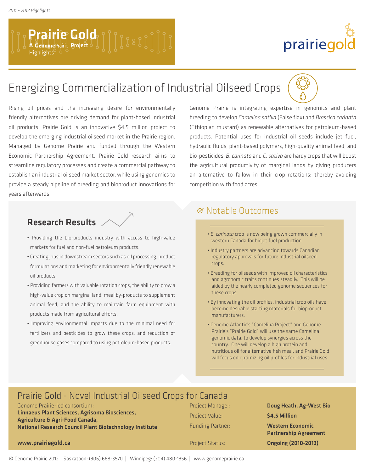years afterwards.

# Prairie Gold A GenomePrairie Project

# prairiego

## Energizing Commercialization of Industrial Oilseed Crops

Rising oil prices and the increasing desire for environmentally friendly alternatives are driving demand for plant-based industrial oil products. Prairie Gold is an innovative \$4.5 million project to develop the emerging industrial oilseed market in the Prairie region. Managed by Genome Prairie and funded through the Western Economic Partnership Agreement, Prairie Gold research aims to streamline regulatory processes and create a commercial pathway to establish an industrial oilseed market sector, while using genomics to provide a steady pipeline of breeding and bioproduct innovations for

### Research Results

- Providing the bio-products industry with access to high-value markets for fuel and non-fuel petroleum products.
- Creating jobs in downstream sectors such as oil processing, product formulations and marketing for environmentally friendly renewable oil products.
- Providing farmers with valuable rotation crops, the ability to grow a high-value crop on marginal land, meal by-products to supplement animal feed, and the ability to maintain farm equipment with products made from agricultural efforts.
- Improving environmental impacts due to the minimal need for fertilizers and pesticides to grow these crops, and reduction of greenhouse gases compared to using petroleum-based products.

Genome Prairie is integrating expertise in genomics and plant breeding to develop *Camelina sativa* (False flax) and *Brassica carinata*  (Ethiopian mustard) as renewable alternatives for petroleum-based products. Potential uses for industrial oil seeds include jet fuel, hydraulic fluids, plant-based polymers, high-quality animal feed, and bio-pesticides. *B. carinata* and *C. sativa* are hardy crops that will boost the agricultural productivity of marginal lands by giving producers an alternative to fallow in their crop rotations; thereby avoiding competition with food acres.

### Notable Outcomes

- *B*. *carinata* crop is now being grown commercially in western Canada for biojet fuel production.
- Industry partners are advancing towards Canadian regulatory approvals for future industrial oilseed crops.
- Breeding for oilseeds with improved oil characteristics and agronomic traits continues steadily. This will be aided by the nearly completed genome sequences for these crops.
- By innovating the oil profiles, industrial crop oils have become desirable starting materials for bioproduct manufacturers.
- Genome Atlantic's "Camelina Project" and Genome Prairie's "Prairie Gold" will use the same Camelina genomic data, to develop synergies across the country. One will develop a high protein and nutritious oil for alternative fish meal, and Prairie Gold will focus on optimizing oil profiles for industrial uses.

### Prairie Gold - Novel Industrial Oilseed Crops for Canada

Genome Prairie-led consortium: Linnaeus Plant Sciences, Agrisoma Biosciences, Agriculture & Agri-Food Canada, National Research Council Plant Biotechnology Institute

www.prairiegold.ca

Project Value:  $\frac{1}{2}$  S4.5 Million

Project Manager: **Doug Heath, Ag-West Bio** Funding Partner: Western Economic Partnership Agreement Project Status: **Ongoing (2010-2013)**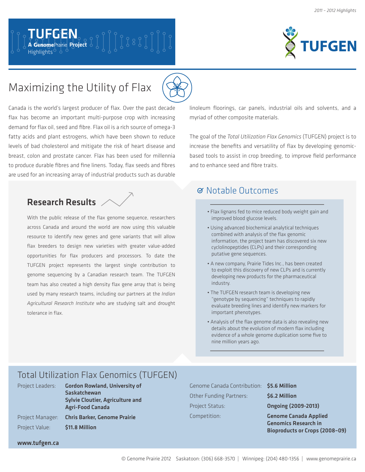

### Maximizing the Utility of Flax

TUFGEN

**Highlights** 

A GenomePrairie Project



Canada is the world's largest producer of flax. Over the past decade flax has become an important multi-purpose crop with increasing demand for flax oil, seed and fibre. Flax oil is a rich source of omega-3 fatty acids and plant estrogens, which have been shown to reduce levels of bad cholesterol and mitigate the risk of heart disease and breast, colon and prostate cancer. Flax has been used for millennia to produce durable fibres and fine linens. Today, flax seeds and fibres are used for an increasing array of industrial products such as durable

### Research Results

With the public release of the flax genome sequence, researchers across Canada and around the world are now using this valuable resource to identify new genes and gene variants that will allow flax breeders to design new varieties with greater value-added opportunities for flax producers and processors. To date the TUFGEN project represents the largest single contribution to genome sequencing by a Canadian research team. The TUFGEN team has also created a high density flax gene array that is being used by many research teams, including our partners at the *Indian Agricultural Research Institute* who are studying salt and drought tolerance in flax.

linoleum floorings, car panels, industrial oils and solvents, and a myriad of other composite materials.

The goal of the *Total Utilization Flax Genomics* (TUFGEN) project is to increase the benefits and versatility of flax by developing genomicbased tools to assist in crop breeding, to improve field performance and to enhance seed and fibre traits.

#### Notable Outcomes

- Flax lignans fed to mice reduced body weight gain and improved blood glucose levels.
- Using advanced biochemical analytical techniques combined with analysis of the flax genomic information, the project team has discovered six new cyclolinopeptides (CLPs) and their corresponding putative gene sequences.
- A new company, Prairie Tides Inc., has been created to exploit this discovery of new CLPs and is currently developing new products for the pharmaceutical industry.
- The TUFGEN research team is developing new "genotype by sequencing" techniques to rapidly evaluate breeding lines and identify new markers for important phenotypes.
- Analysis of the flax genome data is also revealing new details about the evolution of modern flax including evidence of a whole genome duplication some five to nine million years ago.

### Total Utilization Flax Genomics (TUFGEN)

| Project Leaders: | <b>Gordon Rowland, University of</b><br><b>Saskatchewan</b><br><b>Sylvie Cloutier, Agriculture and</b><br><b>Agri-Food Canada</b> |
|------------------|-----------------------------------------------------------------------------------------------------------------------------------|
| Project Manager: | <b>Chris Barker, Genome Prairie</b>                                                                                               |
| Project Value:   | \$11.8 Million                                                                                                                    |

Other Funding Partners: \$6.2 Million Project Status: **Ongoing (2009-2013)** Competition: Genome Canada Applied

Genome Canada Contribution: \$5.6 Million Genomics Research in Bioproducts or Crops (2008–09)

www.tufgen.ca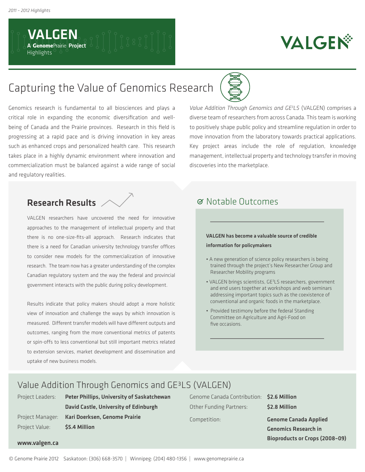### VALGEN A GenomePrairie Project Highlights

# VALGEN®

## Capturing the Value of Genomics Research

Genomics research is fundamental to all biosciences and plays a critical role in expanding the economic diversification and wellbeing of Canada and the Prairie provinces. Research in this field is progressing at a rapid pace and is driving innovation in key areas such as enhanced crops and personalized health care. This research takes place in a highly dynamic environment where innovation and commercialization must be balanced against a wide range of social and regulatory realities.



*Value Addition Through Genomics and GE3 LS* (VALGEN) comprises a diverse team of researchers from across Canada. This team is working to positively shape public policy and streamline regulation in order to move innovation from the laboratory towards practical applications. Key project areas include the role of regulation, knowledge management, intellectual property and technology transfer in moving discoveries into the marketplace.

VALGEN researchers have uncovered the need for innovative approaches to the management of intellectual property and that there is no one-size-fits-all approach. Research indicates that there is a need for Canadian university technology transfer offices to consider new models for the commercialization of innovative research. The team now has a greater understanding of the complex Canadian regulatory system and the way the federal and provincial government interacts with the public during policy development.

Results indicate that policy makers should adopt a more holistic view of innovation and challenge the ways by which innovation is measured. Different transfer models will have different outputs and outcomes, ranging from the more conventional metrics of patents or spin-offs to less conventional but still important metrics related to extension services, market development and dissemination and uptake of new business models.

### **Research Results**  $\land\qquad \qquad \qquad \qquad \qquad \qquad \text{Notable Outcomes}$

#### VALGEN has become a valuable source of credible information for policymakers

- A new generation of science policy researchers is being trained through the project's New Researcher Group and Researcher Mobility programs
- VALGEN brings scientists, GE<sup>3</sup>LS researchers, government and end users together at workshops and web seminars addressing important topics such as the coexistence of conventional and organic foods in the marketplace.
- Provided testimony before the federal Standing Committee on Agriculture and Agri-Food on five occasions.

### Value Addition Through Genomics and GE³LS (VALGEN)

| Project Leaders: | <b>Peter Phillips, University of Saskatchewan</b> |
|------------------|---------------------------------------------------|
|                  | David Castle, University of Edinburgh             |
| Project Manager: | Kari Doerksen, Genome Prairie                     |
| Project Value:   | \$5.4 Million                                     |
|                  |                                                   |

Genome Canada Contribution: \$2.6 Million Other Funding Partners: \$2.8 Million Competition: Genome Canada Applied

Genomics Research in Bioproducts or Crops (2008–09)

#### www.valgen.ca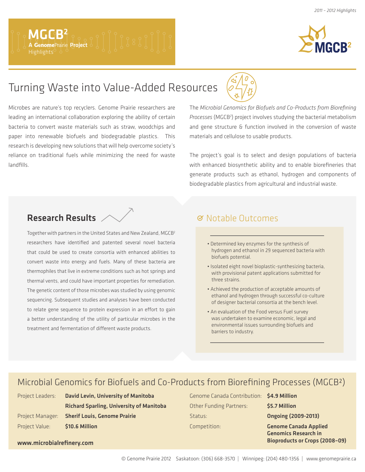## MGCB<sup>2</sup> A GenomePrairie Project



## Turning Waste into Value-Added Resources

Microbes are nature's top recyclers. Genome Prairie researchers are leading an international collaboration exploring the ability of certain bacteria to convert waste materials such as straw, woodchips and paper into renewable biofuels and biodegradable plastics. This research is developing new solutions that will help overcome society's reliance on traditional fuels while minimizing the need for waste landfills.



The *Microbial Genomics for Biofuels and Co-Products from Biorefining Processes* (MGCB2 ) project involves studying the bacterial metabolism and gene structure & function involved in the conversion of waste materials and cellulose to usable products.

The project's goal is to select and design populations of bacteria with enhanced biosynthetic ability and to enable biorefineries that generate products such as ethanol, hydrogen and components of biodegradable plastics from agricultural and industrial waste.

### **Research Results**  $\land\qquad$   $\qquad \qquad \circ$  Notable Outcomes

Together with partners in the United States and New Zealand, MGCB2 researchers have identified and patented several novel bacteria that could be used to create consortia with enhanced abilities to convert waste into energy and fuels. Many of these bacteria are thermophiles that live in extreme conditions such as hot springs and thermal vents, and could have important properties for remediation. The genetic content of those microbes was studied by using genomic sequencing. Subsequent studies and analyses have been conducted to relate gene sequence to protein expression in an effort to gain a better understanding of the utility of particular microbes in the treatment and fermentation of different waste products.

- Determined key enzymes for the synthesis of hydrogen and ethanol in 29 sequenced bacteria with biofuels potential.
- Isolated eight novel bioplastic-synthesizing bacteria, with provisional patent applications submitted for three strains.
- Achieved the production of acceptable amounts of ethanol and hydrogen through successful co-culture of designer bacterial consortia at the bench level.
- An evaluation of the Food versus Fuel survey was undertaken to examine economic, legal and environmental issues surrounding biofuels and barriers to industry.

### Microbial Genomics for Biofuels and Co-Products from Biorefining Processes (MGCB²)

| <b>Project Leaders:</b> | David Levin, University of Manitoba             |
|-------------------------|-------------------------------------------------|
|                         | <b>Richard Sparling, University of Manitoba</b> |
| Project Manager:        | <b>Sherif Louis, Genome Prairie</b>             |
| Project Value:          | \$10.6 Million                                  |

www.microbialrefinery.com

Genome Canada Contribution: \$4.9 Million Other Funding Partners: \$5.7 Million Status: **Ongoing (2009-2013)** Competition: **Genome Canada Applied** 

Genomics Research in Bioproducts or Crops (2008–09)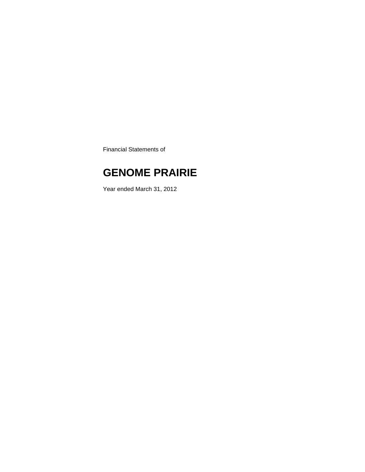Financial Statements of

### **GENOME PRAIRIE**

Year ended March 31, 2012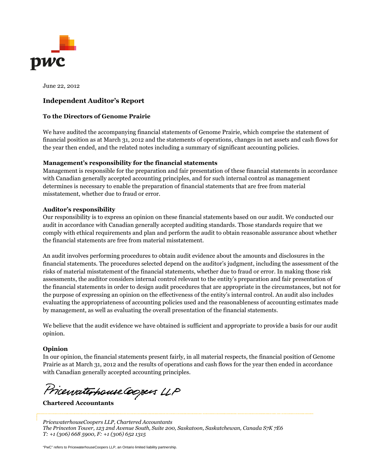

June 22, 2012

#### **Independent Auditor's Report**

#### **To the Directors of Genome Prairie**

We have audited the accompanying financial statements of Genome Prairie, which comprise the statement of financial position as at March 31, 2012 and the statements of operations, changes in net assets and cash flows for the year then ended, and the related notes including a summary of significant accounting policies.

#### **Management's responsibility for the financial statements**

Management is responsible for the preparation and fair presentation of these financial statements in accordance with Canadian generally accepted accounting principles, and for such internal control as management determines is necessary to enable the preparation of financial statements that are free from material misstatement, whether due to fraud or error.

#### **Auditor's responsibility**

Our responsibility is to express an opinion on these financial statements based on our audit. We conducted our audit in accordance with Canadian generally accepted auditing standards. Those standards require that we comply with ethical requirements and plan and perform the audit to obtain reasonable assurance about whether the financial statements are free from material misstatement.

An audit involves performing procedures to obtain audit evidence about the amounts and disclosures in the financial statements. The procedures selected depend on the auditor's judgment, including the assessment of the risks of material misstatement of the financial statements, whether due to fraud or error. In making those risk assessments, the auditor considers internal control relevant to the entity's preparation and fair presentation of the financial statements in order to design audit procedures that are appropriate in the circumstances, but not for the purpose of expressing an opinion on the effectiveness of the entity's internal control. An audit also includes evaluating the appropriateness of accounting policies used and the reasonableness of accounting estimates made by management, as well as evaluating the overall presentation of the financial statements.

We believe that the audit evidence we have obtained is sufficient and appropriate to provide a basis for our audit opinion.

#### **Opinion**

In our opinion, the financial statements present fairly, in all material respects, the financial position of Genome Prairie as at March 31, 2012 and the results of operations and cash flows for the year then ended in accordance with Canadian generally accepted accounting principles.

Pricewaterhouse Coopers LLP

**Chartered Accountants**

*PricewaterhouseCoopers LLP, Chartered Accountants The Princeton Tower, 123 2nd Avenue South, Suite 200, Saskatoon, Saskatchewan, Canada S7K 7E6 T: +1 (306) 668 5900, F: +1 (306) 652 1315*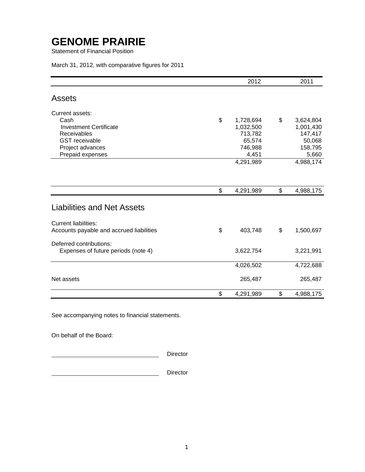Statement of Financial Position

March 31, 2012, with comparative figures for 2011

|                                          | 2012            | 2011            |
|------------------------------------------|-----------------|-----------------|
| <b>Assets</b>                            |                 |                 |
| Current assets:                          |                 |                 |
| Cash                                     | \$<br>1,728,694 | \$<br>3,624,804 |
| <b>Investment Certificate</b>            | 1,032,500       | 1,001,430       |
| Receivables                              | 713,782         | 147,417         |
| <b>GST</b> receivable                    | 65,574          | 50,068          |
| Project advances                         | 746,988         | 158,795         |
| Prepaid expenses                         | 4,451           | 5,660           |
|                                          | 4,291,989       | 4,988,174       |
|                                          |                 |                 |
|                                          |                 |                 |
|                                          | \$<br>4,291,989 | \$<br>4,988,175 |
|                                          |                 |                 |
| <b>Liabilities and Net Assets</b>        |                 |                 |
| <b>Current liabilities:</b>              |                 |                 |
| Accounts payable and accrued liabilities | \$<br>403,748   | \$<br>1,500,697 |
|                                          |                 |                 |
| Deferred contributions:                  |                 |                 |
| Expenses of future periods (note 4)      | 3,622,754       | 3,221,991       |
|                                          |                 |                 |
|                                          | 4,026,502       | 4,722,688       |
| Net assets                               | 265,487         | 265,487         |
|                                          |                 |                 |
|                                          | \$<br>4,291,989 | \$<br>4,988,175 |

See accompanying notes to financial statements.

On behalf of the Board:

Director

Director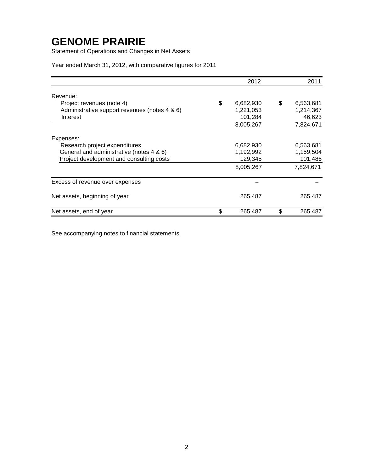Statement of Operations and Changes in Net Assets

Year ended March 31, 2012, with comparative figures for 2011

|                                               | 2012            | 2011            |
|-----------------------------------------------|-----------------|-----------------|
| Revenue:                                      |                 |                 |
| Project revenues (note 4)                     | \$<br>6,682,930 | \$<br>6,563,681 |
| Administrative support revenues (notes 4 & 6) | 1,221,053       | 1,214,367       |
| Interest                                      | 101,284         | 46,623          |
|                                               | 8,005,267       | 7,824,671       |
| Expenses:                                     |                 |                 |
| Research project expenditures                 | 6,682,930       | 6,563,681       |
| General and administrative (notes 4 & 6)      | 1,192,992       | 1,159,504       |
| Project development and consulting costs      | 129,345         | 101,486         |
|                                               | 8,005,267       | 7,824,671       |
| Excess of revenue over expenses               |                 |                 |
| Net assets, beginning of year                 | 265,487         | 265,487         |
| Net assets, end of year                       | \$<br>265,487   | 265,487         |

See accompanying notes to financial statements.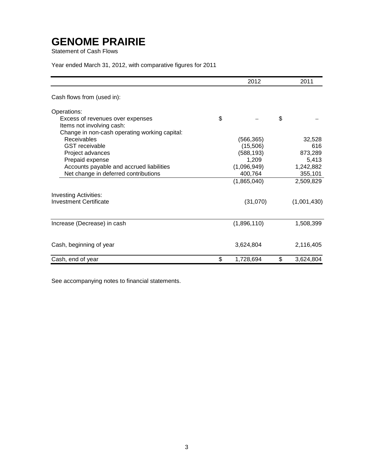Statement of Cash Flows

Year ended March 31, 2012, with comparative figures for 2011

|                                                               | 2012                    | 2011            |
|---------------------------------------------------------------|-------------------------|-----------------|
| Cash flows from (used in):                                    |                         |                 |
| Operations:                                                   |                         |                 |
| Excess of revenues over expenses<br>Items not involving cash: | \$                      | \$              |
| Change in non-cash operating working capital:<br>Receivables  |                         |                 |
| <b>GST</b> receivable                                         | (566, 365)<br>(15, 506) | 32,528<br>616   |
| Project advances                                              | (588, 193)              | 873,289         |
| Prepaid expense                                               | 1,209                   | 5,413           |
| Accounts payable and accrued liabilities                      | (1,096,949)             | 1,242,882       |
| Net change in deferred contributions                          | 400,764                 | 355,101         |
|                                                               | (1,865,040)             | 2,509,829       |
| <b>Investing Activities:</b>                                  |                         |                 |
| <b>Investment Certificate</b>                                 | (31,070)                | (1,001,430)     |
| Increase (Decrease) in cash                                   | (1,896,110)             | 1,508,399       |
| Cash, beginning of year                                       | 3,624,804               | 2,116,405       |
| Cash, end of year                                             | \$<br>1,728,694         | \$<br>3,624,804 |

See accompanying notes to financial statements.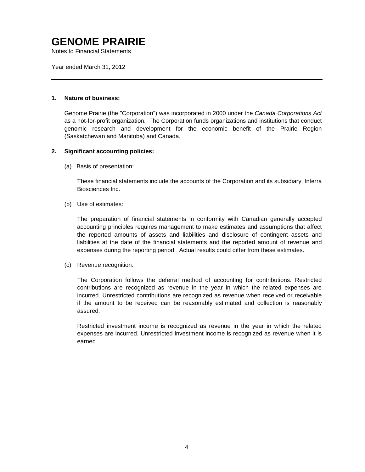Notes to Financial Statements

Year ended March 31, 2012

#### **1. Nature of business:**

Genome Prairie (the "Corporation") was incorporated in 2000 under the *Canada Corporations Act* as a not-for-profit organization. The Corporation funds organizations and institutions that conduct genomic research and development for the economic benefit of the Prairie Region (Saskatchewan and Manitoba) and Canada.

#### **2. Significant accounting policies:**

(a) Basis of presentation:

These financial statements include the accounts of the Corporation and its subsidiary, Interra Biosciences Inc.

(b) Use of estimates:

The preparation of financial statements in conformity with Canadian generally accepted accounting principles requires management to make estimates and assumptions that affect the reported amounts of assets and liabilities and disclosure of contingent assets and liabilities at the date of the financial statements and the reported amount of revenue and expenses during the reporting period. Actual results could differ from these estimates.

(c) Revenue recognition:

The Corporation follows the deferral method of accounting for contributions. Restricted contributions are recognized as revenue in the year in which the related expenses are incurred. Unrestricted contributions are recognized as revenue when received or receivable if the amount to be received can be reasonably estimated and collection is reasonably assured.

Restricted investment income is recognized as revenue in the year in which the related expenses are incurred. Unrestricted investment income is recognized as revenue when it is earned.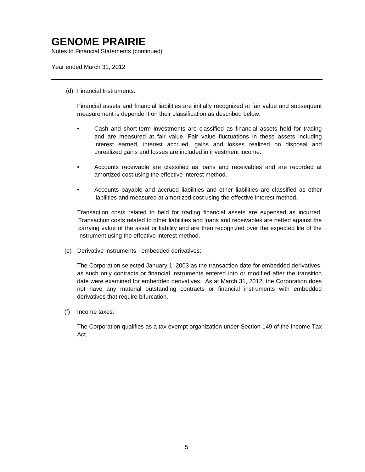Notes to Financial Statements (continued)

Year ended March 31, 2012

(d) Financial Instruments:

Financial assets and financial liabilities are initially recognized at fair value and subsequent measurement is dependent on their classification as described below:

- Cash and short-term investments are classified as financial assets held for trading and are measured at fair value. Fair value fluctuations in these assets including interest earned, interest accrued, gains and losses realized on disposal and unrealized gains and losses are included in investment income.
- Accounts receivable are classified as loans and receivables and are recorded at amortized cost using the effective interest method.
- Accounts payable and accrued liabilities and other liabilities are classified as other liabilities and measured at amortized cost using the effective interest method.

Transaction costs related to held for trading financial assets are expensed as incurred. Transaction costs related to other liabilities and loans and receivables are netted against the carrying value of the asset or liability and are then recognized over the expected life of the instrument using the effective interest method.

(e) Derivative instruments - embedded derivatives:

The Corporation selected January 1, 2003 as the transaction date for embedded derivatives, as such only contracts or financial instruments entered into or modified after the transition date were examined for embedded derivatives. As at March 31, 2012, the Corporation does not have any material outstanding contracts or financial instruments with embedded derivatives that require bifurcation.

(f) Income taxes:

The Corporation qualifies as a tax exempt organization under Section 149 of the Income Tax Act.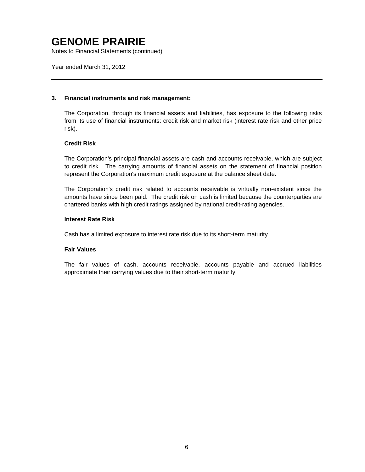Notes to Financial Statements (continued)

Year ended March 31, 2012

#### **3. Financial instruments and risk management:**

The Corporation, through its financial assets and liabilities, has exposure to the following risks from its use of financial instruments: credit risk and market risk (interest rate risk and other price risk).

#### **Credit Risk**

The Corporation's principal financial assets are cash and accounts receivable, which are subject to credit risk. The carrying amounts of financial assets on the statement of financial position represent the Corporation's maximum credit exposure at the balance sheet date.

The Corporation's credit risk related to accounts receivable is virtually non-existent since the amounts have since been paid. The credit risk on cash is limited because the counterparties are chartered banks with high credit ratings assigned by national credit-rating agencies.

#### **Interest Rate Risk**

Cash has a limited exposure to interest rate risk due to its short-term maturity.

#### **Fair Values**

The fair values of cash, accounts receivable, accounts payable and accrued liabilities approximate their carrying values due to their short-term maturity.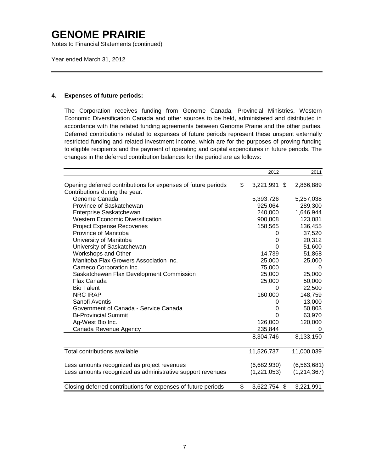Notes to Financial Statements (continued)

Year ended March 31, 2012

#### **4. Expenses of future periods:**

The Corporation receives funding from Genome Canada, Provincial Ministries, Western Economic Diversification Canada and other sources to be held, administered and distributed in accordance with the related funding agreements between Genome Prairie and the other parties. Deferred contributions related to expenses of future periods represent these unspent externally restricted funding and related investment income, which are for the purposes of proving funding to eligible recipients and the payment of operating and capital expenditures in future periods. The changes in the deferred contribution balances for the period are as follows:

|                                                               | 2012                              | 2011          |
|---------------------------------------------------------------|-----------------------------------|---------------|
| Opening deferred contributions for expenses of future periods | \$<br>3,221,991<br>\$             | 2,866,889     |
| Contributions during the year:                                |                                   |               |
| Genome Canada                                                 | 5,393,726                         | 5,257,038     |
| Province of Saskatchewan                                      | 925,064                           | 289,300       |
| Enterprise Saskatchewan                                       | 240,000                           | 1,646,944     |
| <b>Western Economic Diversification</b>                       | 900,808                           | 123,081       |
| <b>Project Expense Recoveries</b>                             | 158,565                           | 136,455       |
| Province of Manitoba                                          | O                                 | 37,520        |
| University of Manitoba                                        | 0                                 | 20,312        |
| University of Saskatchewan                                    | 0                                 | 51,600        |
| Workshops and Other                                           | 14,739                            | 51,868        |
| Manitoba Flax Growers Association Inc.                        | 25,000                            | 25,000        |
| Cameco Corporation Inc.                                       | 75,000                            | <sup>0</sup>  |
| Saskatchewan Flax Development Commission                      | 25,000                            | 25,000        |
| Flax Canada                                                   | 25,000                            | 50,000        |
| <b>Bio Talent</b>                                             | $\Omega$                          | 22,500        |
| <b>NRC IRAP</b>                                               | 160,000                           | 148,759       |
| Sanofi Aventis                                                | 0                                 | 13,000        |
| Government of Canada - Service Canada                         | 0                                 | 50,803        |
| <b>Bi-Provincial Summit</b>                                   | 0                                 | 63,970        |
| Ag-West Bio Inc.                                              | 126,000                           | 120,000       |
| Canada Revenue Agency                                         | 235,844                           | 0             |
|                                                               | 8,304,746                         | 8,133,150     |
| Total contributions available                                 | 11,526,737                        | 11,000,039    |
| Less amounts recognized as project revenues                   | (6,682,930)                       | (6, 563, 681) |
| Less amounts recognized as administrative support revenues    | (1, 221, 053)                     | (1,214,367)   |
| Closing deferred contributions for expenses of future periods | \$<br>$\mathfrak{S}$<br>3,622,754 | 3,221,991     |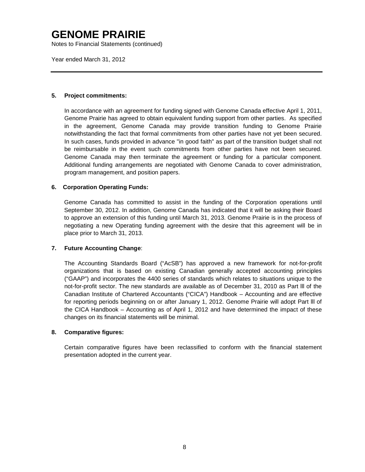Notes to Financial Statements (continued)

Year ended March 31, 2012

#### **5. Project commitments:**

In accordance with an agreement for funding signed with Genome Canada effective April 1, 2011, Genome Prairie has agreed to obtain equivalent funding support from other parties. As specified in the agreement, Genome Canada may provide transition funding to Genome Prairie notwithstanding the fact that formal commitments from other parties have not yet been secured. In such cases, funds provided in advance "in good faith" as part of the transition budget shall not be reimbursable in the event such commitments from other parties have not been secured. Genome Canada may then terminate the agreement or funding for a particular component. Additional funding arrangements are negotiated with Genome Canada to cover administration, program management, and position papers.

#### **6. Corporation Operating Funds:**

Genome Canada has committed to assist in the funding of the Corporation operations until September 30, 2012. In addition, Genome Canada has indicated that it will be asking their Board to approve an extension of this funding until March 31, 2013. Genome Prairie is in the process of negotiating a new Operating funding agreement with the desire that this agreement will be in place prior to March 31, 2013.

#### **7. Future Accounting Change**:

The Accounting Standards Board ("AcSB") has approved a new framework for not-for-profit organizations that is based on existing Canadian generally accepted accounting principles ("GAAP") and incorporates the 4400 series of standards which relates to situations unique to the not-for-profit sector. The new standards are available as of December 31, 2010 as Part lll of the Canadian Institute of Chartered Accountants ("CICA") Handbook – Accounting and are effective for reporting periods beginning on or after January 1, 2012. Genome Prairie will adopt Part lll of the CICA Handbook – Accounting as of April 1, 2012 and have determined the impact of these changes on its financial statements will be minimal.

#### **8. Comparative figures:**

Certain comparative figures have been reclassified to conform with the financial statement presentation adopted in the current year.